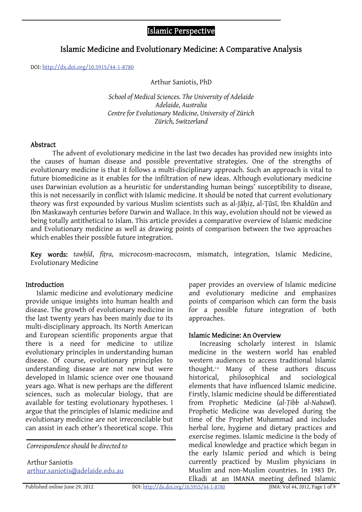# Islamic Perspective

# Islamic Medicine and Evolutionary Medicine: A Comparative Analysis

DOI: <http://dx.doi.org/10.5915/44-1-8780>

Arthur Saniotis, PhD

*School of Medical Sciences. The University of Adelaide Adelaide, Australia Centre for Evolutionary Medicine, University of Zürich Zürich, Switzerland* 

#### Abstract

The advent of evolutionary medicine in the last two decades has provided new insights into the causes of human disease and possible preventative strategies. One of the strengths of evolutionary medicine is that it follows a multi-disciplinary approach. Such an approach is vital to future biomedicine as it enables for the infiltration of new ideas. Although evolutionary medicine uses Darwinian evolution as a heuristic for understanding human beings' susceptibility to disease, this is not necessarily in conflict with Islamic medicine. It should be noted that current evolutionary theory was first expounded by various Muslim scientists such as al-Jāhiz, al-Tūsī, Ibn Khaldūn and Ibn Maskawayh centuries before Darwin and Wallace. In this way, evolution should not be viewed as being totally antithetical to Islam. This article provides a comparative overview of Islamic medicine and Evolutionary medicine as well as drawing points of comparison between the two approaches which enables their possible future integration.

Key words: *tawḥīd*, *fiṭra*, microcosm-macrocosm, mismatch, integration, Islamic Medicine, Evolutionary Medicine

### Introduction

Islamic medicine and evolutionary medicine provide unique insights into human health and disease. The growth of evolutionary medicine in the last twenty years has been mainly due to its multi-disciplinary approach. Its North American and European scientific proponents argue that there is a need for medicine to utilize evolutionary principles in understanding human disease. Of course, evolutionary principles to understanding disease are not new but were developed in Islamic science over one thousand years ago. What is new perhaps are the different sciences, such as molecular biology, that are available for testing evolutionary hypotheses. I argue that the principles of Islamic medicine and evolutionary medicine are not irreconcilable but can assist in each other's theoretical scope. This

*Correspondence should be directed to* 

Arthur Saniotis [arthur.saniotis@adelaide.edu.au](http://www.google.com/recaptcha/mailhide/d?k=01DlWDqjP0bMpcj8BbqpLaow==&c=fEMl9rMSYBvtWQT471jq19jw4TNiu6AB-MwV1nCPwoI=)

paper provides an overview of Islamic medicine and evolutionary medicine and emphasizes points of comparison which can form the basis for a possible future integration of both approaches.

#### Islamic Medicine: An Overview

Increasing scholarly interest in Islamic medicine in the western world has enabled western audiences to access traditional Islamic thought.1-6 Many of these authors discuss historical, philosophical and sociological elements that have influenced Islamic medicine. Firstly, Islamic medicine should be differentiated from Prophetic Medicine (*al-Ṭibb al-Nabawī*). Prophetic Medicine was developed during the time of the Prophet Muhammad and includes herbal lore, hygiene and dietary practices and exercise regimes. Islamic medicine is the body of medical knowledge and practice which began in the early Islamic period and which is being currently practiced by Muslim physicians in Muslim and non-Muslim countries. In 1983 Dr. Elkadi at an IMANA meeting defined Islamic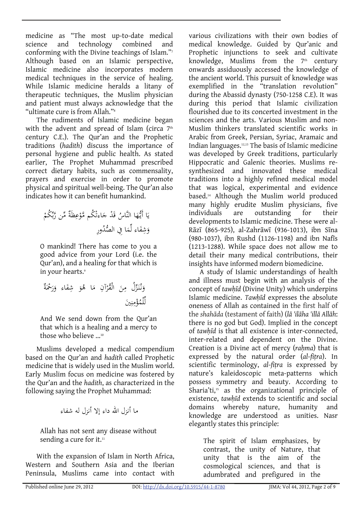medicine as "The most up-to-date medical<br>science and technology combined and science and technology combined and conforming with the Divine teachings of Islam."7 Although based on an Islamic perspective, Islamic medicine also incorporates modern medical techniques in the service of healing. While Islamic medicine heralds a litany of therapeutic techniques, the Muslim physician and patient must always acknowledge that the "ultimate cure is from Allah."8

The rudiments of Islamic medicine began with the advent and spread of Islam (circa  $7<sup>th</sup>$ century C.E.). The Qur'an and the Prophetic traditions (*hadith*) discuss the importance of personal hygiene and public health. As stated earlier, The Prophet Muhammad prescribed correct dietary habits, such as commensality, prayers and exercise in order to promote physical and spiritual well-being. The Qur'an also indicates how it can benefit humankind.

ٌ َة ِظ ْع ْ ُكم َّمو َاءت َْد ج ُ ق ا النَّاس َ ه ُّ ا أَيـ ْ ي َ ِّ ُكم ِّمن َّرب ُ ِور الصد ا ِفي ُّ َ ِّم َاء ل ِف <sup>و</sup> َش

O mankind! There has come to you a good advice from your Lord (i.e. the Qur'an), and a healing for that which is in your hearts.<sup>9</sup>

ْ ُر ْق َ ال ِن زُل م َِّ ُنـ نـ َ و اء َ ِف َ ش ُو ا ه َ ٌ آن ِ م ة َ َ ْحم ر َ و َين ِ ن ِ ْم ُؤ ْلم ل ِّ

And We send down from the Qur'an that which is a healing and a mercy to those who believe ...<sup>10</sup>

Muslims developed a medical compendium based on the Qur'an and *hadith* called Prophetic medicine that is widely used in the Muslim world. Early Muslim focus on medicine was fostered by the Qur'an and the *hadith*, as characterized in the following saying the Prophet Muhammad:

ما أنزل االله داء إلا أنزل له شفاء

Allah has not sent any disease without sending a cure for it.<sup>11</sup>

With the expansion of Islam in North Africa, Western and Southern Asia and the Iberian Peninsula, Muslims came into contact with various civilizations with their own bodies of medical knowledge. Guided by Qur'anic and Prophetic injunctions to seek and cultivate knowledge, Muslims from the  $7<sup>th</sup>$  century onwards assiduously accessed the knowledge of the ancient world. This pursuit of knowledge was exemplified in the "translation revolution" during the Abassid dynasty (750-1258 C.E). It was during this period that Islamic civilization flourished due to its concerted investment in the sciences and the arts. Various Muslim and non-Muslim thinkers translated scientific works in Arabic from Greek, Persian, Syriac, Aramaic and Indian languages.12,13 The basis of Islamic medicine was developed by Greek traditions, particularly Hippocratic and Galenic theories. Muslims resynthesized and innovated these medical traditions into a highly refined medical model that was logical, experimental and evidence based.14 Although the Muslim world produced many highly erudite Muslim physicians, five individuals are outstanding for their developments to Islamic medicine. These were al-Rāzī (865-925), al-Zahrāwī (936-1013), ibn Sīna (980-1037), ibn Rushd (1126-1198) and ibn Nafīs (1213-1288). While space does not allow me to detail their many medical contributions, their insights have informed modern biomedicine.

A study of Islamic understandings of health and illness must begin with an analysis of the concept of *tawḥīd* (Divine Unity) which underpins Islamic medicine. *Tawḥīd* expresses the absolute oneness of Allah as contained in the first half of the *shahāda* (testament of faith) (*lā 'ilāha 'illā Allāh*: there is no god but God). Implied in the concept of *tawḥīd* is that all existence is inter-connected, inter-related and dependent on the Divine. Creation is a Divine act of mercy (*raḥma*) that is expressed by the natural order (*al*-*fiṭra*). In scientific terminology, *al*-*fiṭra* is expressed by nature's kaleidoscopic meta-patterns which possess symmetry and beauty. According to Sharia'ti,15 as the organizational principle of existence, *tawḥīd* extends to scientific and social domains whereby nature, humanity and knowledge are understood as unities. Nasr elegantly states this principle:

The spirit of Islam emphasizes, by contrast, the unity of Nature, that unity that is the aim of the cosmological sciences, and that is adumbrated and prefigured in the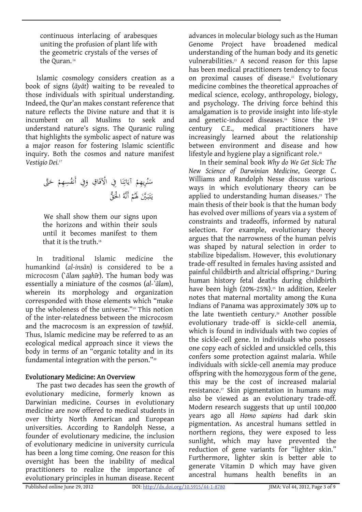continuous interlacing of arabesques uniting the profusion of plant life with the geometric crystals of the verses of the Ouran.<sup>16</sup>

Islamic cosmology considers creation as a book of signs (*āyāt*) waiting to be revealed to those individuals with spiritual understanding. Indeed, the Qur'an makes constant reference that nature reflects the Divine nature and that it is incumbent on all Muslims to seek and understand nature's signs. The Quranic ruling that highlights the symbolic aspect of nature was a major reason for fostering Islamic scientific inquiry. Both the cosmos and nature manifest *Vestigio Dei.*<sup>17</sup>

َ َّتى ْ ح ِ ِهم ُس ِفي أَنف َ َ ِ اق و ا ِفي ْالآف َ ن ِ َات ْ آي ِرِ يهم ُ ن َ س َ ُ ْ الح ْ أَنَّه ُم َ َله ََّين بـ َ ت ق َ ُّ يـ

We shall show them our signs upon the horizons and within their souls until it becomes manifest to them that it is the truth.<sup>18</sup>

In traditional Islamic medicine the humankind (*al*-*insān*) is considered to be a microcosm (`*ālam ṣaghīr*). The human body was essentially a miniature of the cosmos (*al-`ālam*), wherein its morphology and organization corresponded with those elements which "make up the wholeness of the universe."19 This notion of the inter-relatedness between the microcosm and the macrocosm is an expression of *tawḥīd*. Thus, Islamic medicine may be referred to as an ecological medical approach since it views the body in terms of an "organic totality and in its fundamental integration with the person."<sup>20</sup>

## Evolutionary Medicine: An Overview

The past two decades has seen the growth of evolutionary medicine, formerly known as Darwinian medicine. Courses in evolutionary medicine are now offered to medical students in over thirty North American and European universities. According to Randolph Nesse, a founder of evolutionary medicine, the inclusion of evolutionary medicine in university curricula has been a long time coming. One reason for this oversight has been the inability of medical practitioners to realize the importance of evolutionary principles in human disease. Recent

advances in molecular biology such as the Human Genome Project have broadened medical understanding of the human body and its genetic vulnerabilities.<sup>21</sup> A second reason for this lapse has been medical practitioners tendency to focus on proximal causes of disease.<sup>22</sup> Evolutionary medicine combines the theoretical approaches of medical science, ecology, anthropology, biology, and psychology. The driving force behind this amalgamation is to provide insight into life-style and genetic-induced diseases.<sup>16</sup> Since the 19<sup>th</sup> century C.E., medical practitioners have increasingly learned about the relationship between environment and disease and how lifestyle and hygiene play a significant role.<sup>16</sup>

In their seminal book *Why do We Get Sick: The New Science of Darwinian Medicine*, George C. Williams and Randolph Nesse discuss various ways in which evolutionary theory can be applied to understanding human diseases.<sup>23</sup> The main thesis of their book is that the human body has evolved over millions of years via a system of constraints and tradeoffs, informed by natural selection. For example, evolutionary theory argues that the narrowness of the human pelvis was shaped by natural selection in order to stabilize bipedalism. However, this evolutionary trade-off resulted in females having assisted and painful childbirth and altricial offspring.24 During human history fetal deaths during childbirth have been high (20%-25%).<sup>25</sup> In addition, Keeler notes that maternal mortality among the Kuna Indians of Panama was approximately 30% up to the late twentieth century.<sup>26</sup> Another possible evolutionary trade-off is sickle-cell anemia, which is found in individuals with two copies of the sickle-cell gene. In individuals who possess one copy each of sickled and unsickled cells, this confers some protection against malaria. While individuals with sickle-cell anemia may produce offspring with the homozygous form of the gene, this may be the cost of increased malarial resistance.<sup>27</sup> Skin pigmentation in humans may also be viewed as an evolutionary trade-off. Modern research suggests that up until 100,000 years ago all *Homo sapiens* had dark skin pigmentation. As ancestral humans settled in northern regions, they were exposed to less sunlight, which may have prevented the reduction of gene variants for "lighter skin." Furthermore, lighter skin is better able to generate Vitamin D which may have given ancestral humans health benefits in an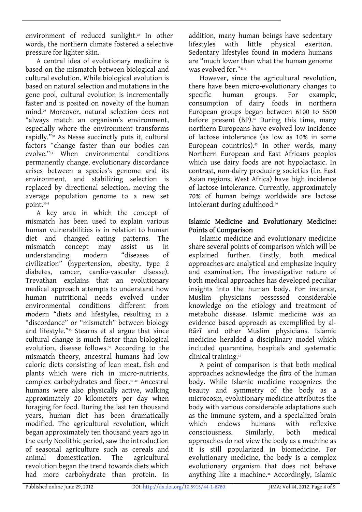environment of reduced sunlight.28 In other words, the northern climate fostered a selective pressure for lighter skin.

A central idea of evolutionary medicine is based on the mismatch between biological and cultural evolution. While biological evolution is based on natural selection and mutations in the gene pool, cultural evolution is incrementally faster and is posited on novelty of the human mind.29 Moreover, natural selection does not "always match an organism's environment, especially where the environment transforms rapidly."30 As Nesse succinctly puts it, cultural factors "change faster than our bodies can evolve."31 When environmental conditions permanently change, evolutionary discordance arises between a species's genome and its environment, and stabilizing selection is replaced by directional selection, moving the average population genome to a new set point.32-4

A key area in which the concept of mismatch has been used to explain various human vulnerabilities is in relation to human diet and changed eating patterns. The mismatch concept may assist us in understanding modern "diseases of civilization" (hypertension, obesity, type 2 diabetes, cancer, cardio-vascular disease). Trevathan explains that an evolutionary medical approach attempts to understand how human nutritional needs evolved under environmental conditions different from modern "diets and lifestyles, resulting in a "discordance" or "mismatch" between biology and lifestyle."35 Stearns et al argue that since cultural change is much faster than biological evolution, disease follows.<sup>36</sup> According to the mismatch theory, ancestral humans had low caloric diets consisting of lean meat, fish and plants which were rich in micro-nutrients, complex carbohydrates and fiber.37-40 Ancestral humans were also physically active, walking approximately 20 kilometers per day when foraging for food. During the last ten thousand years, human diet has been dramatically modified. The agricultural revolution, which began approximately ten thousand years ago in the early Neolithic period, saw the introduction of seasonal agriculture such as cereals and animal domestication. The agricultural revolution began the trend towards diets which had more carbohydrate than protein. In

addition, many human beings have sedentary lifestyles with little physical exertion. Sedentary lifestyles found in modern humans are "much lower than what the human genome was evolved for."41-4

However, since the agricultural revolution, there have been micro-evolutionary changes to specific human groups. For example, consumption of dairy foods in northern European groups began between 6100 to 5500 before present  $(BP)$ .<sup>26</sup> During this time, many northern Europeans have evolved low incidence of lactose intolerance (as low as 10% in some European countries). $45$  In other words, many Northern European and East Africans peoples which use dairy foods are not hypolactasic. In contrast, non-dairy producing societies (i.e. East Asian regions, West Africa) have high incidence of lactose intolerance. Currently, approximately 70% of human beings worldwide are lactose intolerant during adulthood.46

## Islamic Medicine and Evolutionary Medicine: Points of Comparison

Islamic medicine and evolutionary medicine share several points of comparison which will be explained further. Firstly, both medical approaches are analytical and emphasize inquiry and examination. The investigative nature of both medical approaches has developed peculiar insights into the human body. For instance, Muslim physicians possessed considerable knowledge on the etiology and treatment of metabolic disease. Islamic medicine was an evidence based approach as exemplified by al-Rāzī and other Muslim physicians. Islamic medicine heralded a disciplinary model which included quarantine, hospitals and systematic clinical training.47

A point of comparison is that both medical approaches acknowledge the *fitra* of the human body. While Islamic medicine recognizes the beauty and symmetry of the body as a microcosm, evolutionary medicine attributes the body with various considerable adaptations such as the immune system, and a specialized brain which endows humans with reflexive consciousness. Similarly, both medical approaches do not view the body as a machine as it is still popularized in biomedicine. For evolutionary medicine, the body is a complex evolutionary organism that does not behave anything like a machine.<sup>48</sup> Accordingly, Islamic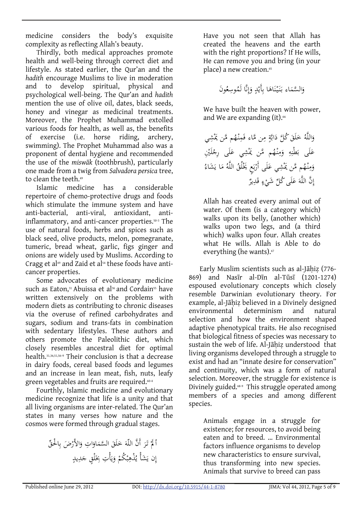medicine considers the body's exquisite complexity as reflecting Allah's beauty.

Thirdly, both medical approaches promote health and well-being through correct diet and lifestyle. As stated earlier, the Qur'an and the *hadith* encourage Muslims to live in moderation and to develop spiritual, physical and psychological well-being. The Qur'an and *hadith* mention the use of olive oil, dates, black seeds, honey and vinegar as medicinal treatments. Moreover, the Prophet Muhammad extolled various foods for health, as well as, the benefits of exercise (i.e. horse riding, archery, swimming). The Prophet Muhammad also was a proponent of dental hygiene and recommended the use of the *miswāk* (toothbrush), particularly one made from a twig from *Salvadora persica* tree, to clean the teeth.49

Islamic medicine has a considerable repertoire of chemo-protective drugs and foods which stimulate the immune system and have anti-bacterial, anti-viral, antioxidant, antiinflammatory, and anti-cancer properties.50-3 The use of natural foods, herbs and spices such as black seed, olive products, melon, pomegranate, tumeric, bread wheat, garlic, figs ginger and onions are widely used by Muslims. According to Cragg et al<sup>49</sup> and Zaid et al<sup>54</sup> these foods have anticancer properties.

Some advocates of evolutionary medicine such as Eaton.<sup>31</sup> Abuissa et al<sup>36</sup> and Cordain<sup>55</sup> have written extensively on the problems with modern diets as contributing to chronic diseases via the overuse of refined carbohydrates and sugars, sodium and trans-fats in combination with sedentary lifestyles. These authors and others promote the Paleolithic diet, which closely resembles ancestral diet for optimal health.31,36,51,56-9 Their conclusion is that a decrease in dairy foods, cereal based foods and legumes and an increase in lean meat, fish, nuts, leafy green vegetables and fruits are required.<sup>60-4</sup>

Fourthly, Islamic medicine and evolutionary medicine recognize that life is a unity and that all living organisms are inter-related. The Qur'an states in many verses how nature and the cosmos were formed through gradual stages.

أَ لَمَّ تَرَ أَنَّ اللَّهَ خَلَقَ السَّمَاوَاتِ وَالأَرْضَ بِالْحقِّ<br>\* َ .<br>ب إِن يَشَأْ يُذْهِبْكُمْ وَيَأْتِ بِخَلْقٍ جَدِيدٍ <u>:</u> يا<br>. ي َ ب µ

Have you not seen that Allah has created the heavens and the earth with the right proportions? If He wills, He can remove you and bring (in your place) a new creation.<sup>65</sup>

ُ َون ِع ُوس نَّا لَم ِ إ َ ٍ و ْد ِأَي ا ب َ َاه ن ْ َيـ نـ َ َاء بـ السم َ َّ و

We have built the heaven with power, and We are expanding (it).<sup>66</sup>

ِ ي َْش ُم َّمن يم ْه ِنـ َم ِن َّماء ف ٍ م َّة َاب َ ُك َّل د َق ل َ ُ خ َاللَّه و ُم َّمن ْه ِنـ م َ ِ و ه ِ ْن َط َى ب ل ِ <sup>ع</sup> َ َْين يم ِ َْش ل ْ َى ِرج ل َ ي ع ُ َ َشاء ا ي َ ُ م ُ اللَّه ُق ل ْ ٍع َيخ َ ب ْ َى أَر ل َ ِ ي ع َْش ُم َّمن يم ْه ِنـ م َ و ٌ ِير َد ٍ ق ء ْ َى ُك ِّل َشي ل َ َ ع ِ َّن اللَّه إ

Allah has created every animal out of water. Of them (is a category which) walks upon its belly, (another which) walks upon two legs, and (a third which) walks upon four. Allah creates what He wills. Allah is Able to do everything (he wants).<sup>67</sup>

Early Muslim scientists such as al-Jāḥiẓ (776- 869) and Nasīr al-Dīn al-Tūsī (1201-1274) espoused evolutionary concepts which closely resemble Darwinian evolutionary theory. For example, al-Jāḥiẓ believed in a Divinely designed environmental determinism and natural selection and how the environment shaped adaptive phenotypical traits. He also recognised that biological fitness of species was necessary to sustain the web of life. Al-Jāhiz understood that living organisms developed through a struggle to exist and had an "innate desire for conservation" and continuity, which was a form of natural selection. Moreover, the struggle for existence is Divinely guided.<sup>68-9</sup> This struggle operated among members of a species and among different species.

Animals engage in a struggle for existence; for resources, to avoid being eaten and to breed. … Environmental factors influence organisms to develop new characteristics to ensure survival, thus transforming into new species. Animals that survive to breed can pass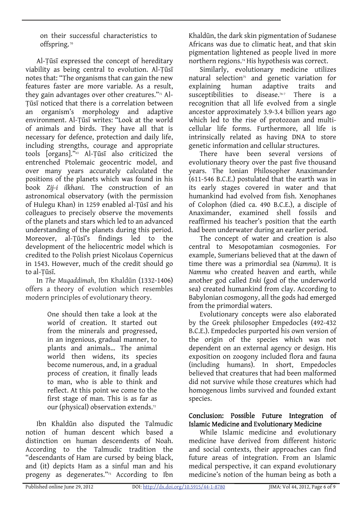on their successful characteristics to offspring. 70

Al-Ṭūsī expressed the concept of hereditary viability as being central to evolution. Al-Ṭūsī notes that: "The organisms that can gain the new features faster are more variable. As a result, they gain advantages over other creatures."<sup>71</sup> Al-Ṭūsī noticed that there is a correlation between an organism's morphology and adaptive environment. Al-Ṭūsī writes: "Look at the world of animals and birds. They have all that is necessary for defence, protection and daily life, including strengths, courage and appropriate tools [organs]."63 Al-Ṭūsī also criticized the entrenched Ptolemaic geocentric model, and over many years accurately calculated the positions of the planets which was found in his book *Zij-i ilkhani*. The construction of an astronomical observatory (with the permission of Hulegu Khan) in 1259 enabled al-Ṭūsī and his colleagues to precisely observe the movements of the planets and stars which led to an advanced understanding of the planets during this period. Moreover, al-Ṭūsī's findings led to the development of the heliocentric model which is credited to the Polish priest Nicolaus Copernicus in 1543. However, much of the credit should go to al-Ṭūsī.

In *The Muqaddimah*, Ibn Khaldūn (1332-1406) offers a theory of evolution which resembles modern principles of evolutionary theory.

> One should then take a look at the world of creation. It started out from the minerals and progressed, in an ingenious, gradual manner, to plants and animals… The animal world then widens, its species become numerous, and, in a gradual process of creation, it finally leads to man, who is able to think and reflect. At this point we come to the first stage of man. This is as far as our (physical) observation extends.72

Ibn Khaldūn also disputed the Talmudic notion of human descent which based a distinction on human descendents of Noah. According to the Talmudic tradition the "descendants of Ham are cursed by being black, and (it) depicts Ham as a sinful man and his progeny as degenerates."<sup>73</sup> According to Ibn

Khaldūn, the dark skin pigmentation of Sudanese Africans was due to climatic heat, and that skin pigmentation lightened as people lived in more northern regions.74 His hypothesis was correct.

Similarly, evolutionary medicine utilizes natural selection<sup>75</sup> and genetic variation for explaining human adaptive traits and susceptibilities to disease.<sup>76-7</sup> There is a recognition that all life evolved from a single ancestor approximately 3.9-3.4 billion years ago which led to the rise of protozoan and multicellular life forms. Furthermore, all life is intrinsically related as having DNA to store genetic information and cellular structures.

There have been several versions of evolutionary theory over the past five thousand years. The Ionian Philosopher Anaximander (611-546 B.C.E.) postulated that the earth was in its early stages covered in water and that humankind had evolved from fish. Xenophanes of Colophon (died ca. 490 B.C.E.), a disciple of Anaximander, examined shell fossils and reaffirmed his teacher's position that the earth had been underwater during an earlier period.

The concept of water and creation is also central to Mesopotamian cosmogonies. For example, Sumerians believed that at the dawn of time there was a primordial sea (*Nammu*). It is *Nammu* who created heaven and earth, while another god called *Enki* (god of the underworld sea) created humankind from clay. According to Babylonian cosmogony, all the gods had emerged from the primordial waters.

Evolutionary concepts were also elaborated by the Greek philosopher Empedocles (492-432 B.C.E.). Empedocles purported his own version of the origin of the species which was not dependent on an external agency or design. His exposition on zoogony included flora and fauna (including humans). In short, Empedocles believed that creatures that had been malformed did not survive while those creatures which had homogenous limbs survived and founded extant species.

### Conclusion: Possible Future Integration of Islamic Medicine and Evolutionary Medicine

While Islamic medicine and evolutionary medicine have derived from different historic and social contexts, their approaches can find future areas of integration. From an Islamic medical perspective, it can expand evolutionary medicine's notion of the human being as both a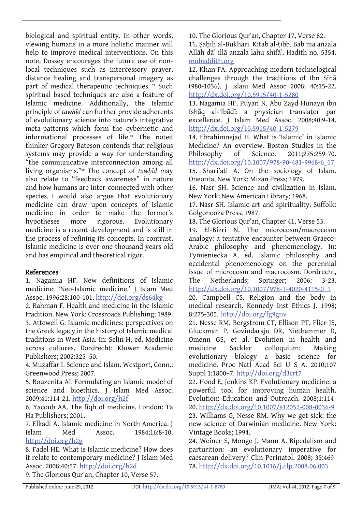biological and spiritual entity. In other words, viewing humans in a more holistic manner will help to improve medical interventions. On this note, Dossey encourages the future use of nonlocal techniques such as intercessory prayer, distance healing and transpersonal imagery as part of medical therapeutic techniques.<sup>78</sup> Such spiritual based techniques are also a feature of Islamic medicine. Additionally, the Islamic principle of *tawḥīd* can further provide adherents of evolutionary science into nature's integrative meta-patterns which form the cybernetic and informational processes of life.<sup>79</sup> The noted thinker Gregory Bateson contends that religious systems may provide a way for understanding "the communicative interconnection among all living organisms."80 The concept of *tawḥīd* may also relate to "feedback awareness" in nature and how humans are inter-connected with other species. I would also argue that evolutionary medicine can draw upon concepts of Islamic medicine in order to make the former's hypotheses more rigorous. Evolutionary medicine is a recent development and is still in the process of refining its concepts. In contrast, Islamic medicine is over one thousand years old and has empirical and theoretical rigor.

# References

1. Nagamia HF. New definitions of Islamic medicine: 'Neo-Islamic medicine.' J Islam Med Assoc. 1996;28:100-101. <http://doi.org/ds64kg>

2. Rahman F. Health and medicine in the Islamic tradition. New York: Crossroads Publishing; 1989. 3. Attewell G. Islamic medicines: perspectives on the Greek legacy in the history of Islamic medical traditions in West Asia. In: Selin H, ed. Medicine across cultures. Dordrecht: Kluwer Academic Publishers; 2002:325–50.

4. Muzaffar I. Science and Islam. Westport, Conn.: Greenwood Press; 2007.

5. Bouzenita AI. Formulating an Islamic model of science and bioethics. J Islam Med Assoc. 2009;41:114-21. <http://doi.org/h2f>

6. Yacoub AA. The fiqh of medicine. London: Ta Ha Publishers; 2001.

7. Elkadi A. Islamic medicine in North America. J Islam Med Assoc. 1984;16:8-10. [http://doi.org/h2g](http://dx.doi.org/10.5915/16-1-5956)

8. Fadel HE. What is Islamic medicine? How does it relate to contemporary medicine? J Islam Med Assoc. 2008;40:57. [http://doi.org/h2d](http://dx.doi.org/10.5915/40-2-4448)

9. The Glorious Qur'an, Chapter 10, Verse 57.

10. The Glorious Qur'an, Chapter 17, Verse 82.

11. Ṣaḥīḥ al-Bukhārī. Kitāb al-ṭibb. Bāb mā anzala Allāh dā' illā anzala lahu shifā'. Hadith no. 5354. [muhaddith.org](http://muhaddith.org/a_index.html)

12. Khan FA. Approaching modern technological challenges through the traditions of Ibn Sīnā (980-1036). J Islam Med Assoc 2008; 40:15-22. <http://dx.doi.org/10.5915/40-1-5280>

13. Nagamia HF, Puyan N. Abū Zayd Ḥunayn ibn Isḥāq al-'Ibādī: a physician translator par excellence. J Islam Med Assoc. 2008;40:9-14. <http://dx.doi.org/10.5915/40-1-5279>

14. Ebrahimnejad H. What is 'Islamic' in Islamic Medicine? An overview. Boston Studies in the Philosophy of Science. 2011;275:259-70. [http://dx.doi.org/10.1007/978-90-481-9968-6\\_17](http://dx.doi.org/10.1007/978-90-481-9968-6_17) 15. Shari'ati A. On the sociology of Islam. Oneonta, New York: Mizan Press; 1979.

16. Nasr SH. Science and civilization in Islam. New York: New American Library; 1968.

17. Nasr SH. Islamic art and spirituality. Suffolk: Golgonooza Press; 1987.

18. The Glorious Qur'an, Chapter 41, Verse 53.

19. El-Bizri N. The microcosm/macrocosm analogy: a tentative encounter between Graeco-Arabic philosophy and phenomenology. In: Tymieniecka A, ed. Islamic philosophy and occidental phenomenology on the perennial issue of microcosm and macrocosm. Dordrecht, The Netherlands; Springer; 2006: 3-23. [http://dx.doi.org/10.1007/978-1-4020-4115-0\\_1](http://dx.doi.org/10.1007/978-1-4020-4115-0_1)

20. Campbell CS. Religion and the body in medical research. Kennedy Inst Ethics J. 1998; 8:275-305. [http://doi.org/fg9gnv](http://dx.doi.org/10.1353/ken.1998.0019)

21. Nesse RM, Bergstrom CT, Ellison PT, Flier JS, Gluckman P, Govindaraju DR, Niethammer D, Omenn GS, et al. Evolution in health and medicine Sackler colloquium: Making evolutionary biology a basic science for medicine. Proc Natl Acad Sci U S A. 2010;107 Suppl 1:1800–7. [http://doi.org/d3crt7](http://dx.doi.org/10.1073/pnas.0906224106)

22. Hood E, Jenkins KP. Evolutionary medicine: a powerful tool for improving human health. Evolution: Education and Outreach. 2008;1:114- 20.<http://dx.doi.org/10.1007/s12052-008-0036-9> 23. Williams G, Nesse RM. Why we get sick: the new science of Darwinian medicine. New York: Vintage Books; 1994.

24. Weiner S, Monge J, Mann A. Bipedalism and parturition: an evolutionary imperative for caesarean delivery? Clin Perinatol. 2008; 35:469- 78.<http://dx.doi.org/10.1016/j.clp.2008.06.003>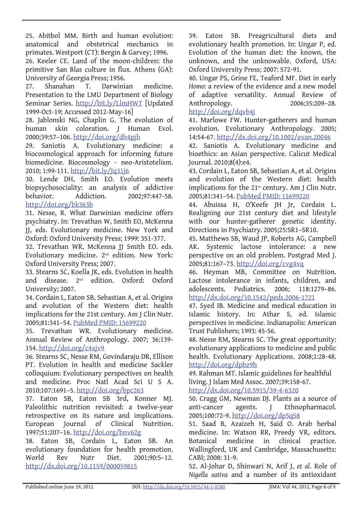25. Abitbol MM. Birth and human evolution: anatomical and obstetrical mechanics in primates. Westport (CT): Bergin & Garvey; 1996.

26. Keeler CE. Land of the moon-children: the primitive San Blas culture in flux. Athens (GA): University of Georgia Press; 1956.

27. Shanahan T. Darwinian medicine. Presentation to the LMU Department of Biology Seminar Series. [http://bit.ly/LlmHWT](http://myweb.lmu.edu/tshanahan/DarMed.html) [Updated 1999-Oct-19; Accessed 2012-May-16]

28. Jablonski NG, Chaplin G. The evolution of human skin coloration. J Human Evol. 2000;39:57–106. [http://doi.org/dh4pjh](http://dx.doi.org/10.1006/jhev.2000.0403)

29. Saniotis A. Evolutionary medicine: a biocosmological approach for informing future biomedicine. Biocosmology - neo-Aristotelism. 2010; 1:99-111. <http://bit.ly/Jq31j6>

30. Lende DH, Smith EO. Evolution meets biopsychosociality: an analysis of addictive behavior. Addiction. 2002;97:447-58. [http://doi.org/bk363b](http://dx.doi.org/10.1046/j.1360-0443.2002.00022.x)

31. Nesse, R. What Darwinian medicine offers psychiatry. In: Trevathan W, Smith EO, McKenna JJ, eds. Evolutionary medicine. New York and Oxford: Oxford University Press; 1999: 351-377.

32. Trevathan WR, McKenna JJ Smith EO. eds. Evolutionary medicine. 2nd edition. New York: Oxford University Press; 2007.

33. Stearns SC, Koella JK, eds. Evolution in health and disease. 2nd edition. Oxford: Oxford University; 2007.

34. Cordain L, Eaton SB, Sebastian A, et al. Origins and evolution of the Western diet: health implications for the 21st century. Am J Clin Nutr. 2005;81:341–54. [PubMed PMID: 15699220](http://pubmed.gov/15699220)

35. Trevathan WR. Evolutionary medicine. Annual Review of Anthropology. 2007; 36:139- 154. [http://doi.org/c4xjv9](http://dx.doi.org/10.1146/annurev.anthro.36.081406.094321)

36. Stearns SC, Nesse RM, Govindaraju DR, Ellison PT. Evolution in health and medicine Sackler colloquium: Evolutionary perspectives on health and medicine. Proc Natl Acad Sci U S A. 2010;107:1691–5. [http://doi.org/bpc263](http://dx.doi.org/10.1073/pnas.0914475107)

37. Eaton SB, Eaton SB 3rd, Konner MJ. Paleolithic nutrition revisited: a twelve-year retrospective on its nature and implications. European Journal of Clinical Nutrition. 1997;51:207–16. [http://doi.org/bnv62g](http://dx.doi.org/10.1038/sj.ejcn.1600389)

38. Eaton SB, Cordain L, Eaton SB. An evolutionary foundation for health promotion. World Rev Nutr Diet. 2001;90:5–12. <http://dx.doi.org/10.1159/000059815>

39. Eaton SB. Preagricultural diets and evolutionary health promotion. In: Ungar P, ed. Evolution of the human diet: the known, the unknown, and the unknowable. Oxford, USA: Oxford University Press; 2007: 572-91.

40. Ungar PS, Grine FE, Teaford MF. Diet in early *Homo*: a review of the evidence and a new model of adaptive versatility. Annual Review of Anthropology. 2006;35:209-28. [http://doi.org/dqvb4j](http://dx.doi.org/10.1146/annurev.anthro.35.081705.123153)

41. Marlowe FW. Hunter-gatherers and human evolution. Evolutionary Anthropology. 2005; 14:54-67. <http://dx.doi.org/10.1002/evan.20046>

42. Saniotis A. Evolutionary medicine and bioethics: an Asian perspective. Calicut Medical Journal. 2010;8(4):e4.

43. Cordain L, Eaton SB, Sebastian A, et al. Origins and evolution of the Western diet: health implications for the  $21<sup>st</sup>$  century. Am J Clin Nutr. 2005;81:341–54. [PubMed PMID: 15699220](http://pubmed.gov/15699220)

44. Abuissa H, O'Keefe JH Jr, Cordain L. Realigning our 21st century diet and lifestyle with our hunter-gatherer genetic identity. Directions in Psychiatry. 2005;25:SR1–SR10.

45. Matthews SB, Waud JP, Roberts AG, Campbell AK. Systemic lactose intolerance: a new perspective on an old problem. Postgrad Med J. 2005;81:167–73. [http://doi.org/cvg4vq](http://dx.doi.org/10.1136/pgmj.2004.025551)

46. Heyman MB, Committee on Nutrition. Lactose intolerance in infants, children, and adolescents. Pediatrics. 2006; 118:1279–86. <http://dx.doi.org/10.1542/peds.2006-1721>

47. Syed IB. Medicine and medical education in Islamic history. In: Athar S, ed. Islamic perspectives in medicine. Indianapolis: American Trust Publishers; 1993: 45-56.

48. Nesse RM, Stearns SC. The great opportunity: evolutionary applications to medicine and public health. Evolutionary Applications. 2008;1:28-48. [http://doi.org/dpbz9h](http://dx.doi.org/10.1111/j.1752-4571.2007.00006.x)

49. Rahman MT. Islamic guidelines for healthful living. J Islam Med Assoc. 2007;39:158-67.

<http://dx.doi.org/10.5915/39-4-6320>

50. Cragg GM, Newman DJ. Plants as a source of anti-cancer agents. J Ethnopharmacol. 2005;100:72-9. [http://doi.org/dp5q58](http://dx.doi.org/10.1016/j.jep.2005.05.011)

51. Saad B, Azaizeh H, Said O. Arab herbal medicine. In: Watson RR, Preedy VR, editors. Botanical medicine in clinical practice. Wallingford, UK and Cambridge, Massachusetts: CABI; 2008: 31-9.

52. Al-Johar D, Shinwari N, Arif J, *et al*. Role of *Nigella sativa* and a number of its antioxidant